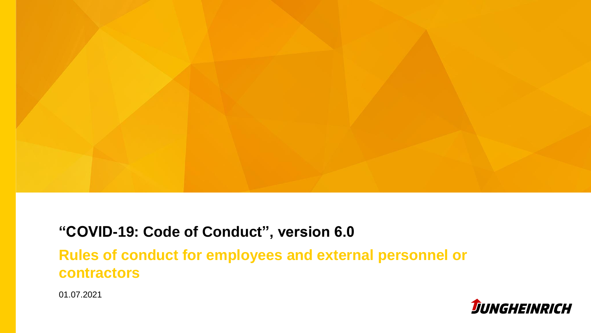

#### **"COVID-19: Code of Conduct", version 6.0**

**Rules of conduct for employees and external personnel or contractors** 

01.07.2021

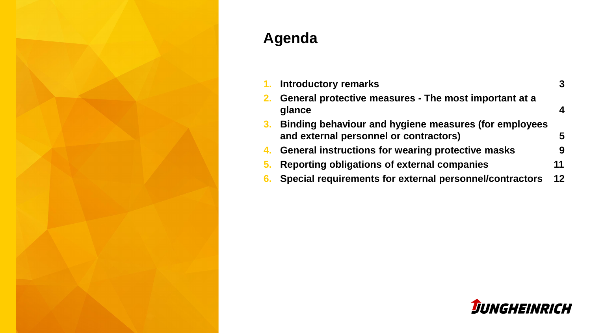

# **Agenda**

|    | 1. Introductory remarks                                                                         | 3  |
|----|-------------------------------------------------------------------------------------------------|----|
| 2. | General protective measures - The most important at a<br>glance                                 |    |
| 3. | Binding behaviour and hygiene measures (for employees<br>and external personnel or contractors) | 5  |
| 4. | General instructions for wearing protective masks                                               | 9  |
| 5. | Reporting obligations of external companies                                                     | 11 |
| 6. | Special requirements for external personnel/contractors                                         | 12 |

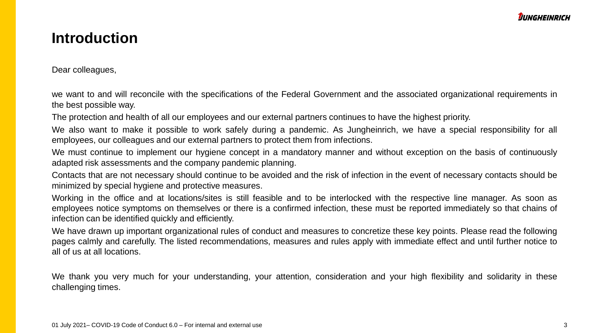#### **Introduction**

Dear colleagues,

we want to and will reconcile with the specifications of the Federal Government and the associated organizational requirements in the best possible way.

The protection and health of all our employees and our external partners continues to have the highest priority.

We also want to make it possible to work safely during a pandemic. As Jungheinrich, we have a special responsibility for all employees, our colleagues and our external partners to protect them from infections.

We must continue to implement our hygiene concept in a mandatory manner and without exception on the basis of continuously adapted risk assessments and the company pandemic planning.

Contacts that are not necessary should continue to be avoided and the risk of infection in the event of necessary contacts should be minimized by special hygiene and protective measures.

Working in the office and at locations/sites is still feasible and to be interlocked with the respective line manager. As soon as employees notice symptoms on themselves or there is a confirmed infection, these must be reported immediately so that chains of infection can be identified quickly and efficiently.

We have drawn up important organizational rules of conduct and measures to concretize these key points. Please read the following pages calmly and carefully. The listed recommendations, measures and rules apply with immediate effect and until further notice to all of us at all locations.

We thank you very much for your understanding, your attention, consideration and your high flexibility and solidarity in these challenging times.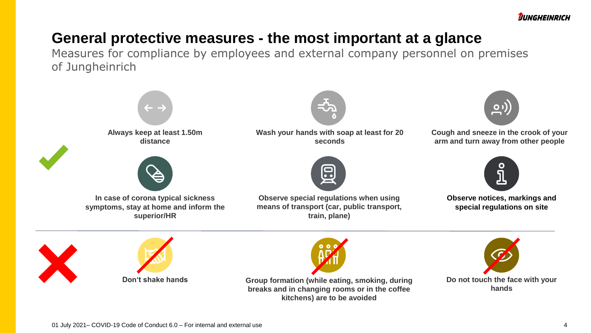**JUNGHEINRICH** 

#### **General protective measures - the most important at a glance**

Measures for compliance by employees and external company personnel on premises of Jungheinrich



**Group formation (while eating, smoking, during breaks and in changing rooms or in the coffee kitchens) are to be avoided**

**Do not touch the face with your hands**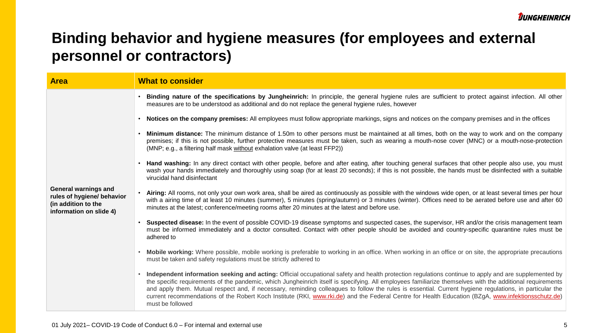| <b>Area</b>                                                                                                 | <b>What to consider</b>                                                                                                                                                                                                                                                                                                                                                                                                                                                                                                                                                                                                                                |
|-------------------------------------------------------------------------------------------------------------|--------------------------------------------------------------------------------------------------------------------------------------------------------------------------------------------------------------------------------------------------------------------------------------------------------------------------------------------------------------------------------------------------------------------------------------------------------------------------------------------------------------------------------------------------------------------------------------------------------------------------------------------------------|
|                                                                                                             | Binding nature of the specifications by Jungheinrich: In principle, the general hygiene rules are sufficient to protect against infection. All other<br>measures are to be understood as additional and do not replace the general hygiene rules, however                                                                                                                                                                                                                                                                                                                                                                                              |
|                                                                                                             | Notices on the company premises: All employees must follow appropriate markings, signs and notices on the company premises and in the offices                                                                                                                                                                                                                                                                                                                                                                                                                                                                                                          |
|                                                                                                             | Minimum distance: The minimum distance of 1.50m to other persons must be maintained at all times, both on the way to work and on the company<br>premises; if this is not possible, further protective measures must be taken, such as wearing a mouth-nose cover (MNC) or a mouth-nose-protection<br>(MNP; e.g., a filtering half mask without exhalation valve (at least FFP2))                                                                                                                                                                                                                                                                       |
|                                                                                                             | Hand washing: In any direct contact with other people, before and after eating, after touching general surfaces that other people also use, you must<br>wash your hands immediately and thoroughly using soap (for at least 20 seconds); if this is not possible, the hands must be disinfected with a suitable<br>virucidal hand disinfectant                                                                                                                                                                                                                                                                                                         |
| <b>General warnings and</b><br>rules of hygiene/ behavior<br>(in addition to the<br>information on slide 4) | Airing: All rooms, not only your own work area, shall be aired as continuously as possible with the windows wide open, or at least several times per hour<br>with a airing time of at least 10 minutes (summer), 5 minutes (spring/autumn) or 3 minutes (winter). Offices need to be aerated before use and after 60<br>minutes at the latest; conference/meeting rooms after 20 minutes at the latest and before use.                                                                                                                                                                                                                                 |
|                                                                                                             | Suspected disease: In the event of possible COVID-19 disease symptoms and suspected cases, the supervisor, HR and/or the crisis management team<br>must be informed immediately and a doctor consulted. Contact with other people should be avoided and country-specific quarantine rules must be<br>adhered to                                                                                                                                                                                                                                                                                                                                        |
|                                                                                                             | Mobile working: Where possible, mobile working is preferable to working in an office. When working in an office or on site, the appropriate precautions<br>must be taken and safety regulations must be strictly adhered to                                                                                                                                                                                                                                                                                                                                                                                                                            |
|                                                                                                             | Independent information seeking and acting: Official occupational safety and health protection regulations continue to apply and are supplemented by<br>the specific requirements of the pandemic, which Jungheinrich itself is specifying. All employees familiarize themselves with the additional requirements<br>and apply them. Mutual respect and, if necessary, reminding colleagues to follow the rules is essential. Current hygiene regulations, in particular the<br>current recommendations of the Robert Koch Institute (RKI, www.rki.de) and the Federal Centre for Health Education (BZgA, www.infektionsschutz.de)<br>must be followed |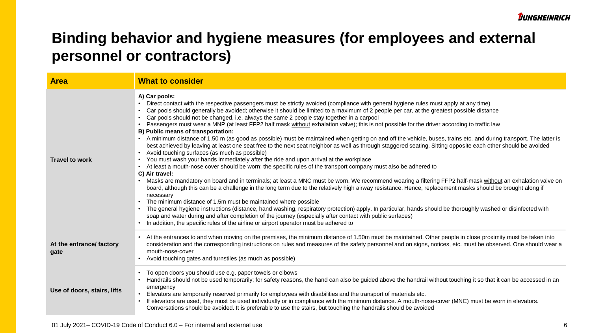| <b>Area</b>                      | <b>What to consider</b>                                                                                                                                                                                                                                                                                                                                                                                                                                                                                                                                                                                                                                                                                                                                                                                                                                                                                                                                                                                                                                                                                                                                                                                                                                                                                                                                                                                                                                                                                                                                                                                                                                                                                                                                                                                                                                                                                                                                                                                   |
|----------------------------------|-----------------------------------------------------------------------------------------------------------------------------------------------------------------------------------------------------------------------------------------------------------------------------------------------------------------------------------------------------------------------------------------------------------------------------------------------------------------------------------------------------------------------------------------------------------------------------------------------------------------------------------------------------------------------------------------------------------------------------------------------------------------------------------------------------------------------------------------------------------------------------------------------------------------------------------------------------------------------------------------------------------------------------------------------------------------------------------------------------------------------------------------------------------------------------------------------------------------------------------------------------------------------------------------------------------------------------------------------------------------------------------------------------------------------------------------------------------------------------------------------------------------------------------------------------------------------------------------------------------------------------------------------------------------------------------------------------------------------------------------------------------------------------------------------------------------------------------------------------------------------------------------------------------------------------------------------------------------------------------------------------------|
| <b>Travel to work</b>            | A) Car pools:<br>Direct contact with the respective passengers must be strictly avoided (compliance with general hygiene rules must apply at any time)<br>Car pools should generally be avoided; otherwise it should be limited to a maximum of 2 people per car, at the greatest possible distance<br>Car pools should not be changed, i.e. always the same 2 people stay together in a carpool<br>Passengers must wear a MNP (at least FFP2 half mask without exhalation valve); this is not possible for the driver according to traffic law<br>B) Public means of transportation:<br>A minimum distance of 1.50 m (as good as possible) must be maintained when getting on and off the vehicle, buses, trains etc. and during transport. The latter is<br>best achieved by leaving at least one seat free to the next seat neighbor as well as through staggered seating. Sitting opposite each other should be avoided<br>Avoid touching surfaces (as much as possible)<br>You must wash your hands immediately after the ride and upon arrival at the workplace<br>$\bullet$<br>At least a mouth-nose cover should be worn; the specific rules of the transport company must also be adhered to<br>C) Air travel:<br>Masks are mandatory on board and in terminals; at least a MNC must be worn. We recommend wearing a filtering FFP2 half-mask without an exhalation valve on<br>board, although this can be a challenge in the long term due to the relatively high airway resistance. Hence, replacement masks should be brought along if<br>necessary<br>The minimum distance of 1.5m must be maintained where possible<br>The general hygiene instructions (distance, hand washing, respiratory protection) apply. In particular, hands should be thoroughly washed or disinfected with<br>soap and water during and after completion of the journey (especially after contact with public surfaces)<br>In addition, the specific rules of the airline or airport operator must be adhered to |
| At the entrance/ factory<br>gate | At the entrances to and when moving on the premises, the minimum distance of 1.50m must be maintained. Other people in close proximity must be taken into<br>consideration and the corresponding instructions on rules and measures of the safety personnel and on signs, notices, etc. must be observed. One should wear a<br>mouth-nose-cover<br>Avoid touching gates and turnstiles (as much as possible)                                                                                                                                                                                                                                                                                                                                                                                                                                                                                                                                                                                                                                                                                                                                                                                                                                                                                                                                                                                                                                                                                                                                                                                                                                                                                                                                                                                                                                                                                                                                                                                              |
| Use of doors, stairs, lifts      | To open doors you should use e.g. paper towels or elbows<br>Handrails should not be used temporarily; for safety reasons, the hand can also be guided above the handrail without touching it so that it can be accessed in an<br>emergency<br>Elevators are temporarily reserved primarily for employees with disabilities and the transport of materials etc.<br>If elevators are used, they must be used individually or in compliance with the minimum distance. A mouth-nose-cover (MNC) must be worn in elevators.<br>Conversations should be avoided. It is preferable to use the stairs, but touching the handrails should be avoided                                                                                                                                                                                                                                                                                                                                                                                                                                                                                                                                                                                                                                                                                                                                                                                                                                                                                                                                                                                                                                                                                                                                                                                                                                                                                                                                                              |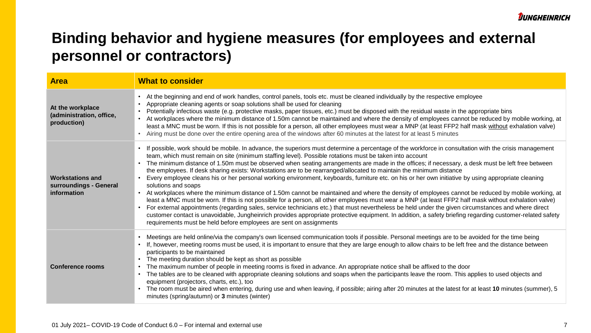| <b>Area</b>                                                      | <b>What to consider</b>                                                                                                                                                                                                                                                                                                                                                                                                                                                                                                                                                                                                                                                                                                                                                                                                                                                                                                                                                                                                                                                                                                                                                                                                                                                                                                                                                                                                            |
|------------------------------------------------------------------|------------------------------------------------------------------------------------------------------------------------------------------------------------------------------------------------------------------------------------------------------------------------------------------------------------------------------------------------------------------------------------------------------------------------------------------------------------------------------------------------------------------------------------------------------------------------------------------------------------------------------------------------------------------------------------------------------------------------------------------------------------------------------------------------------------------------------------------------------------------------------------------------------------------------------------------------------------------------------------------------------------------------------------------------------------------------------------------------------------------------------------------------------------------------------------------------------------------------------------------------------------------------------------------------------------------------------------------------------------------------------------------------------------------------------------|
| At the workplace<br>(administration, office,<br>production)      | At the beginning and end of work handles, control panels, tools etc. must be cleaned individually by the respective employee<br>Appropriate cleaning agents or soap solutions shall be used for cleaning<br>Potentially infectious waste (e.g. protective masks, paper tissues, etc.) must be disposed with the residual waste in the appropriate bins<br>At workplaces where the minimum distance of 1.50m cannot be maintained and where the density of employees cannot be reduced by mobile working, at<br>least a MNC must be worn. If this is not possible for a person, all other employees must wear a MNP (at least FFP2 half mask without exhalation valve)<br>Airing must be done over the entire opening area of the windows after 60 minutes at the latest for at least 5 minutes                                                                                                                                                                                                                                                                                                                                                                                                                                                                                                                                                                                                                                     |
| <b>Workstations and</b><br>surroundings - General<br>information | If possible, work should be mobile. In advance, the superiors must determine a percentage of the workforce in consultation with the crisis management<br>team, which must remain on site (minimum staffing level). Possible rotations must be taken into account<br>The minimum distance of 1.50m must be observed when seating arrangements are made in the offices; if necessary, a desk must be left free between<br>the employees. If desk sharing exists: Workstations are to be rearranged/allocated to maintain the minimum distance<br>Every employee cleans his or her personal working environment, keyboards, furniture etc. on his or her own initiative by using appropriate cleaning<br>solutions and soaps<br>At workplaces where the minimum distance of 1.50m cannot be maintained and where the density of employees cannot be reduced by mobile working, at<br>least a MNC must be worn. If this is not possible for a person, all other employees must wear a MNP (at least FFP2 half mask without exhalation valve)<br>For external appointments (regarding sales, service technicians etc.) that must nevertheless be held under the given circumstances and where direct<br>customer contact is unavoidable, Jungheinrich provides appropriate protective equipment. In addition, a safety briefing regarding customer-related safety<br>requirements must be held before employees are sent on assignments |
| <b>Conference rooms</b>                                          | Meetings are held online/via the company's own licensed communication tools if possible. Personal meetings are to be avoided for the time being<br>If, however, meeting rooms must be used, it is important to ensure that they are large enough to allow chairs to be left free and the distance between<br>participants to be maintained<br>The meeting duration should be kept as short as possible<br>The maximum number of people in meeting rooms is fixed in advance. An appropriate notice shall be affixed to the door<br>The tables are to be cleaned with appropriate cleaning solutions and soaps when the participants leave the room. This applies to used objects and<br>equipment (projectors, charts, etc.), too<br>The room must be aired when entering, during use and when leaving, if possible; airing after 20 minutes at the latest for at least 10 minutes (summer), 5<br>minutes (spring/autumn) or 3 minutes (winter)                                                                                                                                                                                                                                                                                                                                                                                                                                                                                    |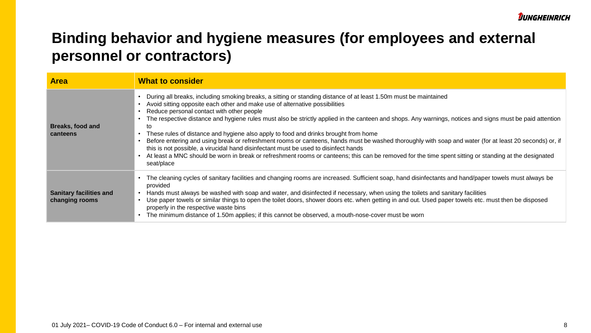| <b>Area</b>                                      | <b>What to consider</b>                                                                                                                                                                                                                                                                                                                                                                                                                                                                                                                                                                                                                                                                                                                                                                                                                                                                                                       |
|--------------------------------------------------|-------------------------------------------------------------------------------------------------------------------------------------------------------------------------------------------------------------------------------------------------------------------------------------------------------------------------------------------------------------------------------------------------------------------------------------------------------------------------------------------------------------------------------------------------------------------------------------------------------------------------------------------------------------------------------------------------------------------------------------------------------------------------------------------------------------------------------------------------------------------------------------------------------------------------------|
| Breaks, food and<br>canteens                     | During all breaks, including smoking breaks, a sitting or standing distance of at least 1.50m must be maintained<br>Avoid sitting opposite each other and make use of alternative possibilities<br>Reduce personal contact with other people<br>The respective distance and hygiene rules must also be strictly applied in the canteen and shops. Any warnings, notices and signs must be paid attention<br>to<br>These rules of distance and hygiene also apply to food and drinks brought from home<br>Before entering and using break or refreshment rooms or canteens, hands must be washed thoroughly with soap and water (for at least 20 seconds) or, if<br>this is not possible, a virucidal hand disinfectant must be used to disinfect hands<br>At least a MNC should be worn in break or refreshment rooms or canteens; this can be removed for the time spent sitting or standing at the designated<br>seat/place |
| <b>Sanitary facilities and</b><br>changing rooms | The cleaning cycles of sanitary facilities and changing rooms are increased. Sufficient soap, hand disinfectants and hand/paper towels must always be<br>provided<br>Hands must always be washed with soap and water, and disinfected if necessary, when using the toilets and sanitary facilities<br>Use paper towels or similar things to open the toilet doors, shower doors etc. when getting in and out. Used paper towels etc. must then be disposed<br>properly in the respective waste bins<br>The minimum distance of 1.50m applies; if this cannot be observed, a mouth-nose-cover must be worn                                                                                                                                                                                                                                                                                                                     |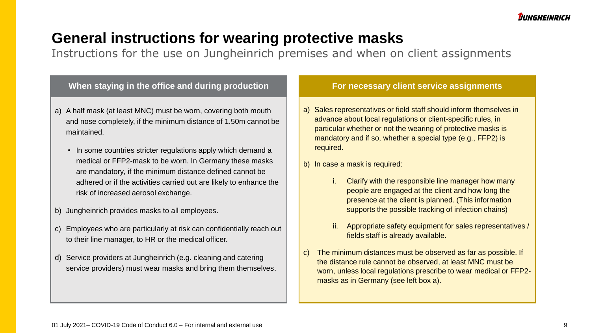### **General instructions for wearing protective masks**

Instructions for the use on Jungheinrich premises and when on client assignments

#### **When staying in the office and during production**

- a) A half mask (at least MNC) must be worn, covering both mouth and nose completely, if the minimum distance of 1.50m cannot be maintained.
	- In some countries stricter regulations apply which demand a medical or FFP2-mask to be worn. In Germany these masks are mandatory, if the minimum distance defined cannot be adhered or if the activities carried out are likely to enhance the risk of increased aerosol exchange.
- b) Jungheinrich provides masks to all employees.
- c) Employees who are particularly at risk can confidentially reach out to their line manager, to HR or the medical officer.
- d) Service providers at Jungheinrich (e.g. cleaning and catering service providers) must wear masks and bring them themselves.

#### **For necessary client service assignments**

- a) Sales representatives or field staff should inform themselves in advance about local regulations or client-specific rules, in particular whether or not the wearing of protective masks is mandatory and if so, whether a special type (e.g., FFP2) is required.
- b) In case a mask is required:
	- i. Clarify with the responsible line manager how many people are engaged at the client and how long the presence at the client is planned. (This information supports the possible tracking of infection chains)
	- ii. Appropriate safety equipment for sales representatives / fields staff is already available.
- c) The minimum distances must be observed as far as possible. If the distance rule cannot be observed, at least MNC must be worn, unless local regulations prescribe to wear medical or FFP2 masks as in Germany (see left box a).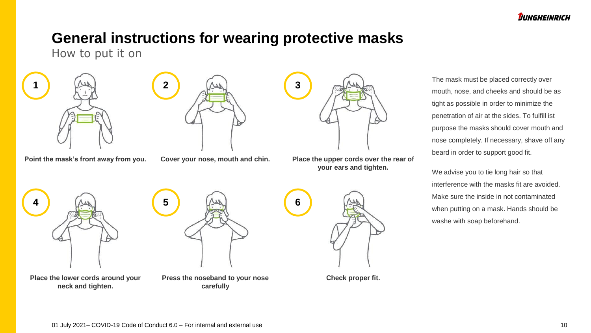### **General instructions for wearing protective masks**

How to put it on



**1 2 3**



**Point the mask's front away from you. Cover your nose, mouth and chin. Place the upper cords over the rear of your ears and tighten.**

The mask must be placed correctly over mouth, nose, and cheeks and should be as tight as possible in order to minimize the penetration of air at the sides. To fulfill ist purpose the masks should cover mouth and nose completely. If necessary, shave off any beard in order to support good fit.

We advise you to tie long hair so that interference with the masks fit are avoided. Make sure the inside in not contaminated when putting on a mask. Hands should be washe with soap beforehand.





**Place the lower cords around your neck and tighten.**

**carefully**

**Check proper fit.**

**Press the noseband to your nose** 

01 July 2021– COVID-19 Code of Conduct 6.0 – For internal and external use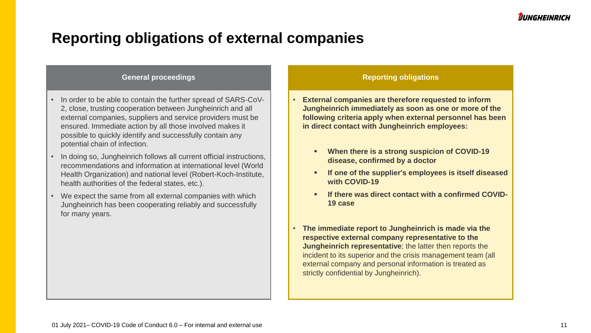### **Reporting obligations of external companies**

#### **General proceedings**

- In order to be able to contain the further spread of SARS-CoV-2, close, trusting cooperation between Jungheinrich and all external companies, suppliers and service providers must be ensured. Immediate action by all those involved makes it possible to quickly identify and successfully contain any potential chain of infection.
- In doing so, Jungheinrich follows all current official instructions, recommendations and information at international level (World Health Organization) and national level (Robert-Koch-Institute, health authorities of the federal states, etc.).
- We expect the same from all external companies with which Jungheinrich has been cooperating reliably and successfully for many years.

#### **Reporting obligations**

- **External companies are therefore requested to inform Jungheinrich immediately as soon as one or more of the following criteria apply when external personnel has been in direct contact with Jungheinrich employees:** 
	- **When there is a strong suspicion of COVID-19 disease, confirmed by a doctor**
	- **If one of the supplier's employees is itself diseased with COVID-19**
	- **If there was direct contact with a confirmed COVID-19 case**
- **The immediate report to Jungheinrich is made via the respective external company representative to the Jungheinrich representative**; the latter then reports the incident to its superior and the crisis management team (all external company and personal information is treated as strictly confidential by Jungheinrich).